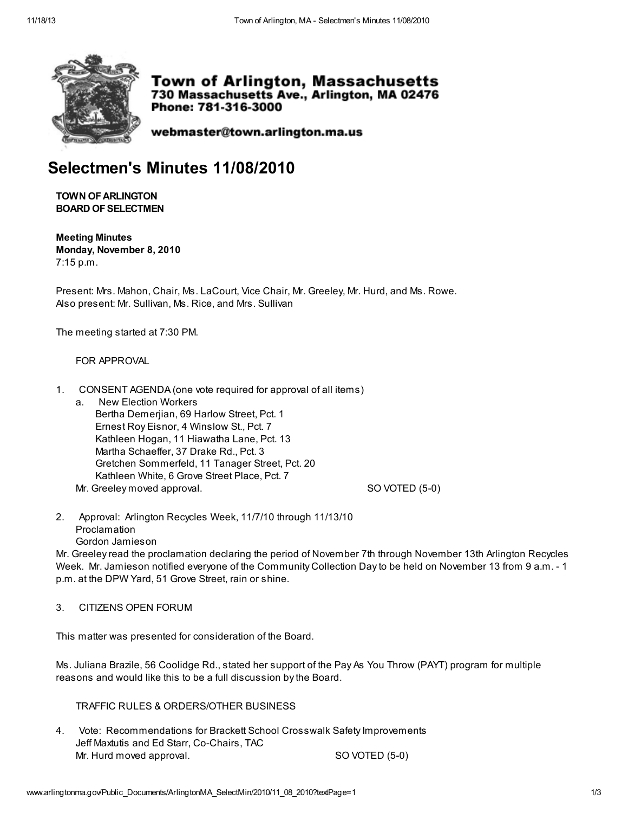

**Town of Arlington, Massachusetts** 730 Massachusetts Ave., Arlington, MA 02476 Phone: 781-316-3000

webmaster@town.arlington.ma.us

# Selectmen's Minutes 11/08/2010

**TOWN OF ARLINGTON BOARD OF SELECTMEN** 

Meeting Minutes Monday, November 8, 2010 7:15 p.m.

Present: Mrs. Mahon, Chair, Ms. LaCourt, Vice Chair, Mr. Greeley, Mr. Hurd, and Ms. Rowe. Also present: Mr. Sullivan, Ms. Rice, and Mrs. Sullivan

The meeting started at 7:30 PM.

## FOR APPROVAL

- 1. CONSENT AGENDA (one vote required for approval of all items)
	- a. New Election Workers Bertha Demerjian, 69 Harlow Street, Pct. 1 Ernest Roy Eisnor, 4 Winslow St., Pct. 7 Kathleen Hogan, 11 Hiawatha Lane, Pct. 13 Martha Schaeffer, 37 Drake Rd., Pct. 3 Gretchen Sommerfeld, 11 Tanager Street, Pct. 20 Kathleen White, 6 Grove Street Place, Pct. 7 Mr. Greeley moved approval. Compared the settlement of the SO VOTED (5-0)

2. Approval: Arlington Recycles Week, 11/7/10 through 11/13/10 Proclamation Gordon Jamieson

Mr. Greeley read the proclamation declaring the period of November 7th through November 13th Arlington Recycles Week. Mr. Jamieson notified everyone of the Community Collection Day to be held on November 13 from 9 a.m. - 1 p.m. at the DPW Yard, 51 Grove Street, rain or shine.

### 3. CITIZENS OPEN FORUM

This matter was presented for consideration of the Board.

Ms. Juliana Brazile, 56 Coolidge Rd., stated her support of the Pay As You Throw (PAYT) program for multiple reasons and would like this to be a full discussion by the Board.

## TRAFFIC RULES & ORDERS/OTHER BUSINESS

4. Vote: Recommendations for Brackett School Crosswalk Safety Improvements Jeff Maxtutis and Ed Starr, Co-Chairs, TAC Mr. Hurd moved approval. SO VOTED (5-0)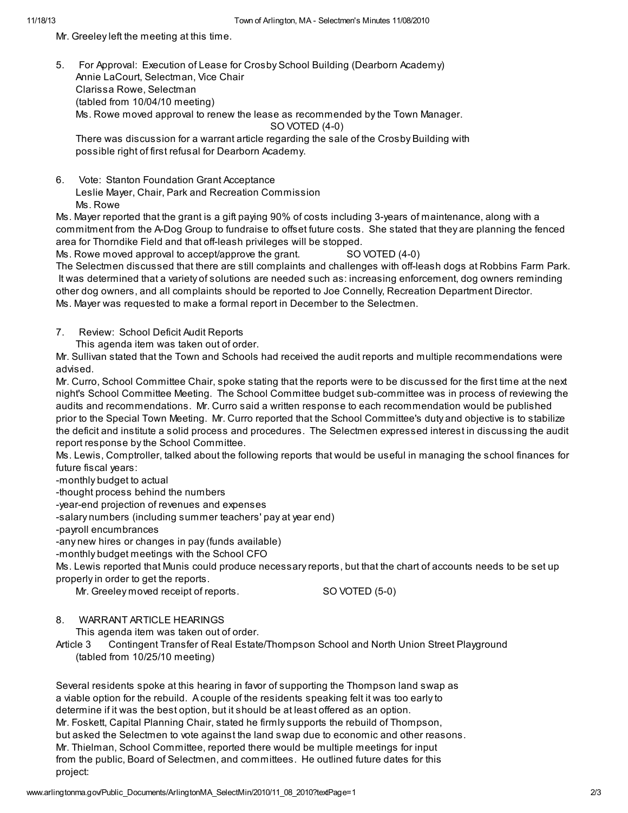Mr. Greeley left the meeting at this time.

5. For Approval: Execution of Lease for Crosby School Building (Dearborn Academy) Annie LaCourt, Selectman, Vice Chair Clarissa Rowe, Selectman (tabled from 10/04/10 meeting) Ms. Rowe moved approval to renew the lease as recommended by the Town Manager. SO VOTED (4-0)

There was discussion for a warrant article regarding the sale of the Crosby Building with possible right of first refusal for Dearborn Academy.

6. Vote: Stanton Foundation Grant Acceptance Leslie Mayer, Chair, Park and Recreation Commission Ms. Rowe

Ms. Mayer reported that the grant is a gift paying 90% of costs including 3-years of maintenance, along with a commitment from the A-Dog Group to fundraise to offset future costs. She stated that they are planning the fenced area for Thorndike Field and that off-leash privileges will be stopped.

Ms. Rowe moved approval to accept/approve the grant. SO VOTED (4-0)

The Selectmen discussed that there are still complaints and challenges with off-leash dogs at Robbins Farm Park. It was determined that a variety of solutions are needed such as: increasing enforcement, dog owners reminding other dog owners, and all complaints should be reported to Joe Connelly, Recreation Department Director. Ms. Mayer was requested to make a formal report in December to the Selectmen.

- 7. Review: School Deficit Audit Reports
	- This agenda item was taken out of order.

Mr. Sullivan stated that the Town and Schools had received the audit reports and multiple recommendations were advised.

Mr. Curro, School Committee Chair, spoke stating that the reports were to be discussed for the first time at the next night's School Committee Meeting. The School Committee budget sub-committee was in process of reviewing the audits and recommendations. Mr. Curro said a written response to each recommendation would be published prior to the Special Town Meeting. Mr. Curro reported that the School Committee's duty and objective is to stabilize the deficit and institute a solid process and procedures. The Selectmen expressed interest in discussing the audit report response by the School Committee.

Ms. Lewis, Comptroller, talked about the following reports that would be useful in managing the school finances for future fiscal years:

-monthly budget to actual

-thought process behind the numbers

-year-end projection of revenues and expenses

-salary numbers (including summer teachers' pay at year end)

-payroll encumbrances

-any new hires or changes in pay (funds available)

-monthly budget meetings with the School CFO

Ms. Lewis reported that Munis could produce necessary reports, but that the chart of accounts needs to be set up properly in order to get the reports.

Mr. Greeley moved receipt of reports. SO VOTED (5-0)

8. WARRANT ARTICLE HEARINGS

This agenda item was taken out of order.

Article 3 Contingent Transfer of Real Estate/Thompson School and North Union Street Playground (tabled from 10/25/10 meeting)

Several residents spoke at this hearing in favor of supporting the Thompson land swap as a viable option for the rebuild. A couple of the residents speaking felt it was too early to determine if it was the best option, but it should be at least offered as an option. Mr. Foskett, Capital Planning Chair, stated he firmly supports the rebuild of Thompson, but asked the Selectmen to vote against the land swap due to economic and other reasons. Mr. Thielman, School Committee, reported there would be multiple meetings for input from the public, Board of Selectmen, and committees. He outlined future dates for this project: